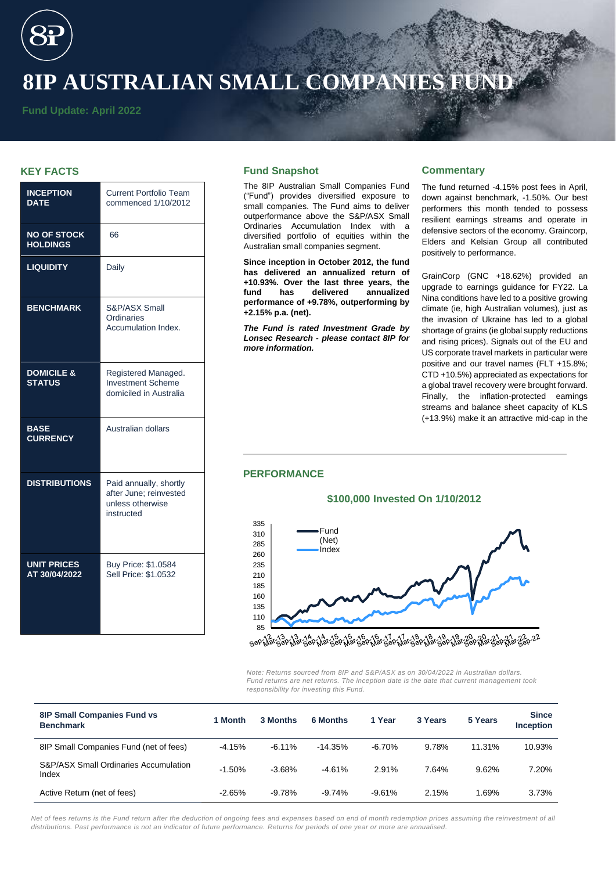# **8IP AUSTRALIAN SMALL COMPANIES FUND**

**Fund Update: April 2022**

# **KEY FACTS**

| <b>INCEPTION</b><br><b>DATE</b>        | <b>Current Portfolio Team</b><br>commenced 1/10/2012                               |  |  |  |
|----------------------------------------|------------------------------------------------------------------------------------|--|--|--|
| <b>NO OF STOCK</b><br><b>HOLDINGS</b>  | 66                                                                                 |  |  |  |
| <b>LIQUIDITY</b>                       | Daily                                                                              |  |  |  |
| <b>BENCHMARK</b>                       | S&P/ASX Small<br>Ordinaries<br>Accumulation Index.                                 |  |  |  |
| <b>DOMICILE &amp;</b><br><b>STATUS</b> | Registered Managed.<br><b>Investment Scheme</b><br>domiciled in Australia          |  |  |  |
| <b>BASE</b><br><b>CURRENCY</b>         | Australian dollars                                                                 |  |  |  |
| <b>DISTRIBUTIONS</b>                   | Paid annually, shortly<br>after June: reinvested<br>unless otherwise<br>instructed |  |  |  |
| <b>UNIT PRICES</b><br>AT 30/04/2022    | Buy Price: \$1.0584<br>Sell Price: \$1.0532                                        |  |  |  |

# **Fund Snapshot**

The 8IP Australian Small Companies Fund ("Fund") provides diversified exposure to small companies. The Fund aims to deliver outperformance above the S&P/ASX Small Ordinaries Accumulation Index with a diversified portfolio of equities within the Australian small companies segment.

**Since inception in October 2012, the fund has delivered an annualized return of +10.93%. Over the last three years, the fund has delivered annualized performance of +9.78%, outperforming by +2.15% p.a. (net).**

*The Fund is rated Investment Grade by Lonsec Research - please contact 8IP for more information.* 

## **Commentary**

The fund returned -4.15% post fees in April, down against benchmark, -1.50%. Our best performers this month tended to possess resilient earnings streams and operate in defensive sectors of the economy. Graincorp, Elders and Kelsian Group all contributed positively to performance.

GrainCorp (GNC +18.62%) provided an upgrade to earnings guidance for FY22. La Nina conditions have led to a positive growing climate (ie, high Australian volumes), just as the invasion of Ukraine has led to a global shortage of grains (ie global supply reductions and rising prices). Signals out of the EU and US corporate travel markets in particular were positive and our travel names (FLT +15.8%; CTD +10.5%) appreciated as expectations for a global travel recovery were brought forward. Finally, the inflation-protected earnings streams and balance sheet capacity of KLS (+13.9%) make it an attractive mid-cap in the

# **PERFORMANCE**



**\$100,000 Invested On 1/10/2012**

 $28c$  $-2\lambda$   $-22$   $-22$  $18.170.17.180.181.280.181.20.20.181$ sepiló

*Note: Returns sourced from 8IP and S&P/ASX as on 30/04/2022 in Australian dollars. Fund returns are net returns. The inception date is the date that current management took responsibility for investing this Fund.*

| <b>8IP Small Companies Fund vs</b><br><b>Benchmark</b> | Month    | 3 Months | 6 Months   | 1 Year    | 3 Years | 5 Years | <b>Since</b><br><b>Inception</b> |
|--------------------------------------------------------|----------|----------|------------|-----------|---------|---------|----------------------------------|
| 8IP Small Companies Fund (net of fees)                 | $-4.15%$ | $-6.11%$ | $-14.35\%$ | $-6.70\%$ | 9.78%   | 11.31%  | 10.93%                           |
| S&P/ASX Small Ordinaries Accumulation<br>Index         | $-1.50%$ | $-3.68%$ | $-4.61%$   | 2.91%     | 7.64%   | 9.62%   | 7.20%                            |
| Active Return (net of fees)                            | $-2.65%$ | $-9.78%$ | $-9.74%$   | $-9.61%$  | 2.15%   | 1.69%   | 3.73%                            |

*Net of fees returns is the Fund return after the deduction of ongoing fees and expenses based on end of month redemption prices assuming the reinvestment of all distributions. Past performance is not an indicator of future performance. Returns for periods of one year or more are annualised.*